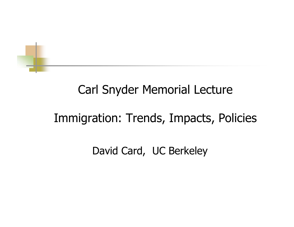

## Carl Snyder Memorial Lecture

# Immigration: Trends, Impacts, Policies

David Card, UC Berkeley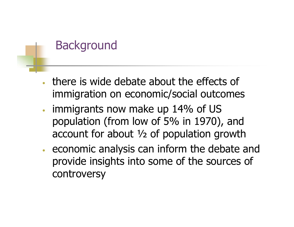## **Background**

- • there is wide debate about the effects of immigration on economic/social outcomes
- • immigrants now make up 14% of US population (from low of 5% in 1970), and account for about ½ of population growth
- • economic analysis can inform the debate and provide insights into some of the sources of controversy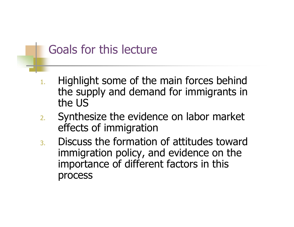## Goals for this lecture

- 1. Highlight some of the main forces behind the supply and demand for immigrants in the US
- 2. Synthesize the evidence on labor market effects of immi gration
- 3. Discuss the formation of attitudes toward immigration policy, and evidence on the importance of different factors in this process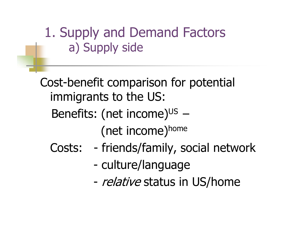1. Supply and Demand Factors a) Supply side

Cost-benefit comparison for potential immigrants to the US: Benefits: (net income)<sup>us</sup> (net income)home

- Costs: friends/family, social network
	- culture/language
	- -- *relative* status in US/home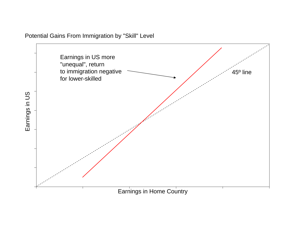

Potential Gains From Immigration by "Skill" Level

Earnings in Home Country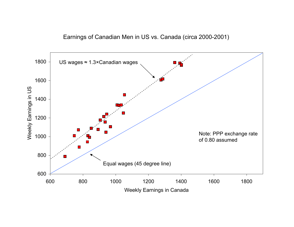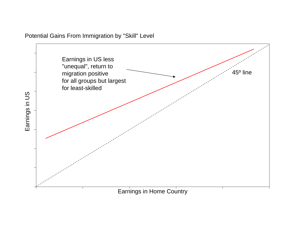

Potential Gains From Immigration by "Skill" Level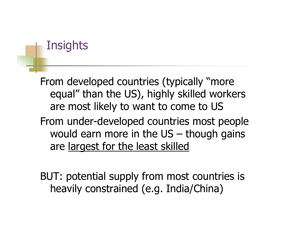## **Insights**

From developed countries (typically "more equal" than the US), highly skilled workers are most likely to want to come to US From under-developed countries most people would earn more in the US – though gains are largest for the least skilled

BUT: potential supply from most countries is heavily constrained (e.g. India/China)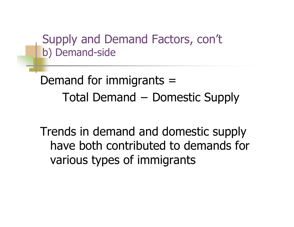Supply and Demand Factors, con't b) Demand-side

Demand for immigrants = Total Demand - Domestic Supply

Trends in demand and domestic supply have both contributed to demands for various types of immigrants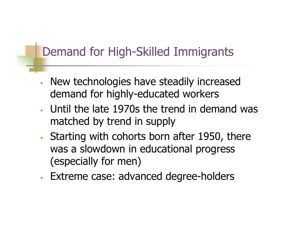# Demand for High-Skilled Immigrants

- • New technologies have steadily increased demand for highly-educated workers
- • Until the late 1970s the trend in demand was matched by trend in supply
- •• Starting with cohorts born after 1950, there was a slowdown in educational progress (especially for men)
- •Extreme case: advanced degree-holders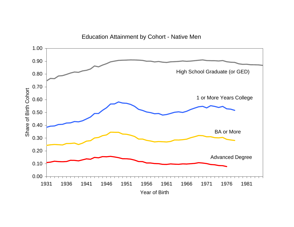

#### Education Attainment by Cohort - Native Men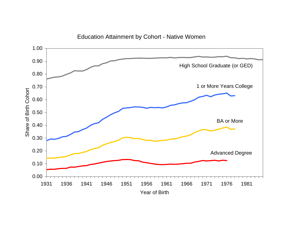

#### Education Attainment by Cohort - Native Women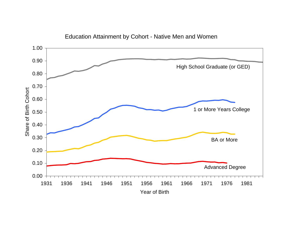

Education Attainment by Cohort - Native Men and Women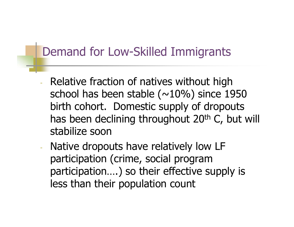## Demand for Low-Skilled Immigrants

- Relative fraction of natives without high school has been stable ( $\sim$ 10%) since 1950 birth cohort. Domestic supply of dropouts has been declining throughout 20<sup>th</sup> C, but will stabilize soon
- - Native dropouts have relatively low LF participation (crime, social program participation….) so their effective supply is less than their population count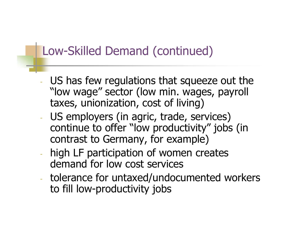## Low-Skilled Demand (continued)

- US has few regulations that squeeze out the "low wage" sector (low min. wages, payroll taxes, unionization, cost of living)
- US employers (in agric, trade, services) continue to offer "low productivity" jobs (in contrast to Germany, for example)
- high LF participation of women creates demand for low cost services
- tolerance for untaxed/undocumented workers to fill low-productivity jobs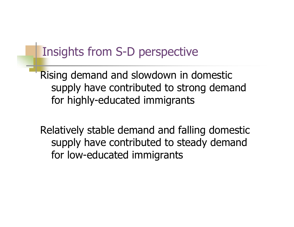#### Insights from S-D perspective

Rising demand and slowdown in domestic supply have contributed to strong demand for highly-educated immigrants

Relatively stable demand and falling domestic supply have contributed to steady demand for low-educated immigrants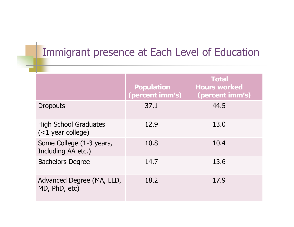#### Immigrant presence at Each Level of Education

|                                                     | <b>Population</b><br>(percent imm's) | <b>Total</b><br><b>Hours worked</b><br>(percent imm's) |
|-----------------------------------------------------|--------------------------------------|--------------------------------------------------------|
| <b>Dropouts</b>                                     | 37.1                                 | 44.5                                                   |
| <b>High School Graduates</b><br>$(<1$ year college) | 12.9                                 | 13.0                                                   |
| Some College (1-3 years,<br>Including AA etc.)      | 10.8                                 | 10.4                                                   |
| <b>Bachelors Degree</b>                             | 14.7                                 | 13.6                                                   |
| Advanced Degree (MA, LLD,<br>MD, PhD, etc)          | 18.2                                 | 17.9                                                   |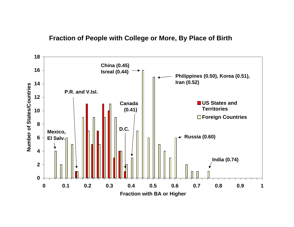#### **Fraction of People with College or More, By Place of Birth**

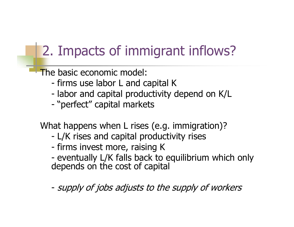# 2. Impacts of immigrant inflows?

The basic economic model:

- firms use labor L and capital K
- labor and capital productivity depend on K/L
- -"perfect" capital markets

What happens when L rises (e.g. immigration)?

- -L/K rises and capital productivity rises
- firms invest more, raising K
- -- eventually L/K falls back to equilibrium which only<br>depends on the cost of capital
- supply of jobs adjusts to the supply of workers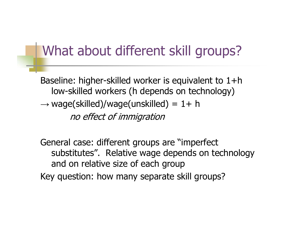# What about different skill groups?

Baseline: higher-skilled worker is equivalent to 1+h low-skilled workers (h depends on technology)  $\rightarrow$  wage(skilled)/wage(unskilled) = 1+ h no effect of immigration

General case: different groups are "imperfect substitutes". Relative wage depends on technology and on relative size of each group Key question: how many separate skill groups?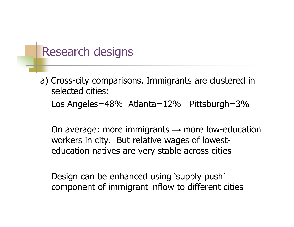#### Research designs

a) Cross-city comparisons. Immigrants are clustered in selected cities: Los Angeles=48% Atlanta=12% Pittsburgh=3%

On average: more immigrants  $\rightarrow$  more low-education workers in city. But relative wages of lowesteducation natives are very stable across cities

Design can be enhanced using 'supply push' component of immigrant inflow to different cities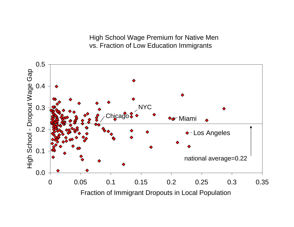High School Wage Premium for Native Men vs. Fraction of Low Education Immigrants

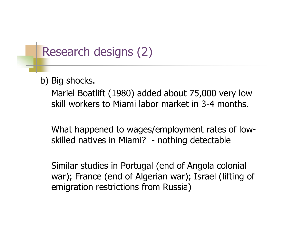## Research designs (2)

b) Big shocks.

Mariel Boatlift (1980) added about 75,000 very low skill workers to Miami labor market in 3-4 months.

What happened to wages/employment rates of lowskilled natives in Miami? - nothing detectable

Similar studies in Portugal (end of Angola colonial war); France (end of Algerian war); Israel (lifting of emigration restrictions from Russia)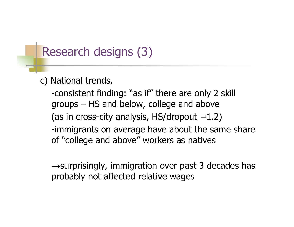## Research designs (3)

#### c) National trends.

-consistent finding: "as if" there are only 2 skill groups – HS and below, college and above (as in cross-city analysis, HS/dropout  $=1.2$ ) -immigrants on average have about the same share of "college and above" workers as natives

 $\rightarrow$ surprisingly, immigration over past 3 decades has probably not affected relative wages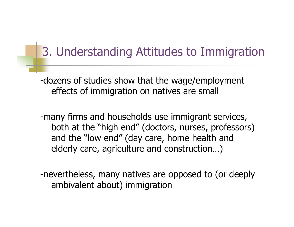# 3. Understanding Attitudes to Immigration

-dozens of studies show that the wage/employment effects of immigration on natives are small

-many firms and households use immigrant services, both at the "high end" (doctors, nurses, professors) and the "low end" (day care, home health and elderly care, agriculture and construction…)

-nevertheless, many natives are opposed to (or deeply ambivalent about) immigration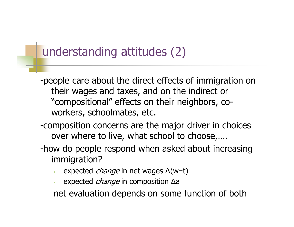## understanding attitudes (2)

-people care about the direct effects of immigration on their wages and taxes, and on the indirect or "compositional" effects on their neighbors, coworkers, schoolmates, etc.

- -composition concerns are the major driver in choices over where to live, what school to choose,….
- -how do people respond when asked about increasing immigration?
	- •• expected *change* in net wages Δ(w-t)
	- •• expected *change* in composition Δa

net evaluation depends on some function of both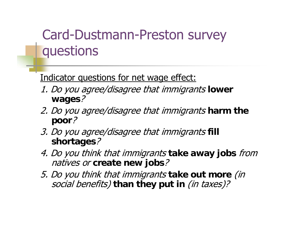# Card-Dustmann-Preston survey questions

#### Indicator questions for net wage effect:

- 1. Do you agree/disagree that immigrants **lower wages**?
- 2. Do you agree/disagree that immigrants **harm the poor**?
- 3. Do you agree/disagree that immigrants **fill shortages**?
- 4. Do you think that immigrants **take away jobs** from natives or **create new jobs**?
- 5. Do you think that immigrants **take out more** (in social benefits) **than they put in** (in taxes)?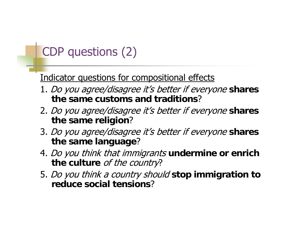# CDP questions (2)

#### Indicator questions for compositional effects

- 1. Do you agree/disagree it's better if everyone **shares the same customs and traditions**?
- 2. Do you agree/disagree it's better if everyone **shares the same religion**?
- 3. Do you agree/disagree it's better if everyone **shares the same language**?
- 4. Do you think that immigrants **undermine or enrich the culture** of the country?
- 5. Do you think a country should **stop immigration to reduce social tensions**?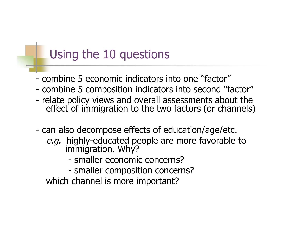### Using the 10 questions

- combine 5 economic indicators into one "factor"
- combine 5 composition indicators into second "factor"
- relate policy views and overall assessments about the effect of immigration to the two factors (or channels)
- can also decompose effects of education/age/etc.
	- e.g. highly-educated people are more favorable to immigration. Why?
		- smaller economic concerns?
		- smaller composition concerns?

which channel is more important?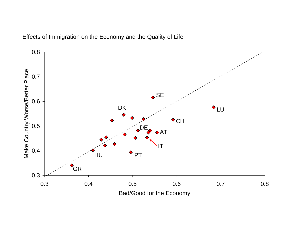

Effects of Immigration on the Economy and the Quality of Life

Bad/Good for the Economy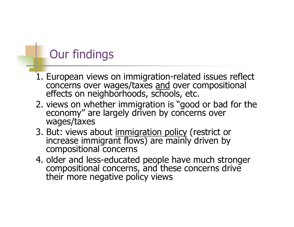# Our findings

- 1. European views on immigration-related issues reflect concerns over wages/taxes <u>and</u> over compositional effects on neighborhoods, schools, etc.
- 2. views on whether immigration is "good or bad for the economy" are largely driven by concerns over wages/taxes
- 3. But: views about immigration policy (restrict or increase immigrant flows) are mainly driven by compositional concerns
- 4. older and less-educated people have much stronger compositional concerns, and these concerns drive their more negative policy views